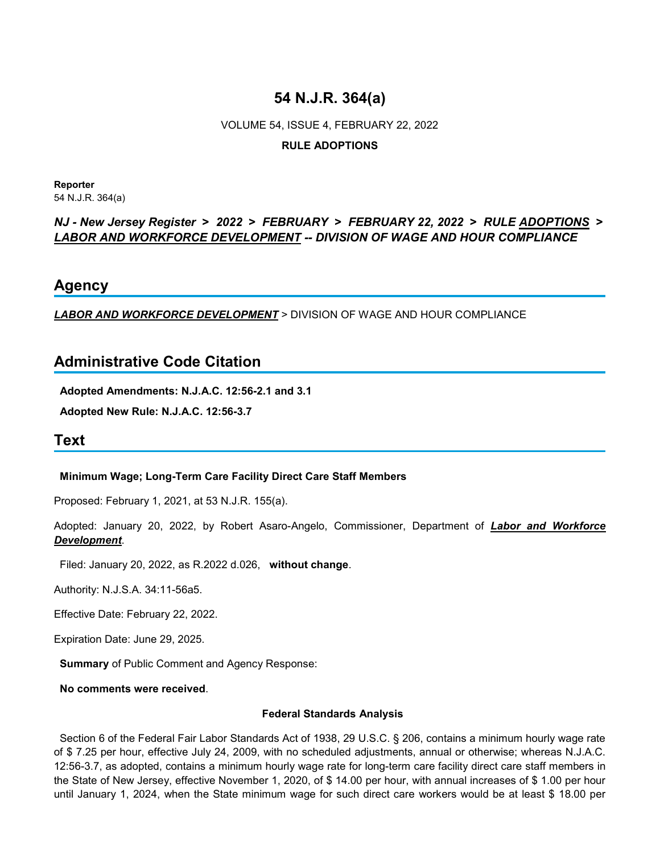# **54 N.J.R. 364(a)**

# VOLUME 54, ISSUE 4, FEBRUARY 22, 2022

### **RULE ADOPTIONS**

**Reporter** 54 N.J.R. 364(a)

### *NJ - New Jersey Register* **>** *2022* **>** *FEBRUARY* **>** *FEBRUARY 22, 2022* **>** *RULE ADOPTIONS* **>**  *LABOR AND WORKFORCE DEVELOPMENT -- DIVISION OF WAGE AND HOUR COMPLIANCE*

### **Agency**

*LABOR AND WORKFORCE DEVELOPMENT* > DIVISION OF WAGE AND HOUR COMPLIANCE

## **Administrative Code Citation**

**Adopted Amendments: N.J.A.C. 12:56-2.1 and 3.1**

**Adopted New Rule: N.J.A.C. 12:56-3.7**

# **Text**

### **Minimum Wage; Long-Term Care Facility Direct Care Staff Members**

Proposed: February 1, 2021, at 53 N.J.R. 155(a).

Adopted: January 20, 2022, by Robert Asaro-Angelo, Commissioner, Department of *Labor and Workforce Development*.

Filed: January 20, 2022, as R.2022 d.026, **without change**.

Authority: N.J.S.A. 34:11-56a5.

Effective Date: February 22, 2022.

Expiration Date: June 29, 2025.

**Summary** of Public Comment and Agency Response:

**No comments were received**.

#### **Federal Standards Analysis**

 Section 6 of the Federal Fair Labor Standards Act of 1938, 29 U.S.C. § 206, contains a minimum hourly wage rate of \$ 7.25 per hour, effective July 24, 2009, with no scheduled adjustments, annual or otherwise; whereas N.J.A.C. 12:56-3.7, as adopted, contains a minimum hourly wage rate for long-term care facility direct care staff members in the State of New Jersey, effective November 1, 2020, of \$ 14.00 per hour, with annual increases of \$ 1.00 per hour until January 1, 2024, when the State minimum wage for such direct care workers would be at least \$ 18.00 per